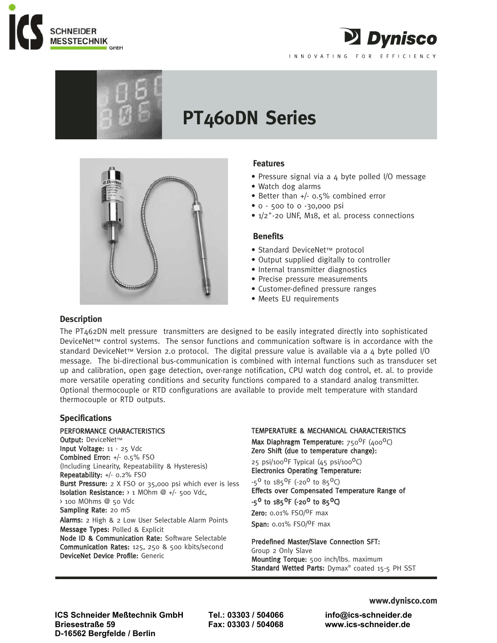



# **PT460DN Series**



## **Features**

• Pressure signal via a 4 byte polled I/O message

2 Dynisco

INNOVATING FOR EFFICIENCY

- Watch dog alarms
- Better than +/- 0.5% combined error
- 0 500 to 0 -30,000 psi
- 1/2"-20 UNF, M18, et al. process connections

### **Benefits**

- Standard DeviceNet™ protocol
- Output supplied digitally to controller
- Internal transmitter diagnostics
- Precise pressure measurements
- Customer-defined pressure ranges
- Meets EU requirements

## **Description**

The PT462DN melt pressure transmitters are designed to be easily integrated directly into sophisticated DeviceNet™ control systems. The sensor functions and communication software is in accordance with the standard DeviceNet™ Version 2.0 protocol. The digital pressure value is available via a 4 byte polled I/O message. The bi-directional bus-communication is combined with internal functions such as transducer set up and calibration, open gage detection, over-range notification, CPU watch dog control, et. al. to provide more versatile operating conditions and security functions compared to a standard analog transmitter. Optional thermocouple or RTD configurations are available to provide melt temperature with standard thermocouple or RTD outputs.

## **Specifications**

#### PERFORMANCE CHARACTERISTICS

Output: DeviceNet™ Input Voltage: 11 - 25 Vdc Combined Error: +/- 0.5% FSO (Including Linearity, Repeatability & Hysteresis) Repeatability: +/- 0.2% FSO Burst Pressure: 2 X FSO or 35,000 psi which ever is less Isolation Resistance: > 1 MOhm @ +/- 500 Vdc, > 100 MOhms @ 50 Vdc Sampling Rate: 20 mS Alarms: 2 High & 2 Low User Selectable Alarm Points Message Types: Polled & Explicit Node ID & Communication Rate: Software Selectable Communication Rates: 125, 250 & 500 kbits/second DeviceNet Device Profile: Generic

#### TEMPERATURE & MECHANICAL CHARACTERISTICS

Max Diaphragm Temperature:  $750^{\circ}$ F (400<sup>o</sup>C) Zero Shift (due to temperature change):

25 psi/100<sup>0</sup>F Typical  $(45 \text{ psi}/100^0\text{C})$ Electronics Operating Temperature:

-5<sup>0</sup> to 185<sup>0</sup>F (-20<sup>0</sup> to 85<sup>0</sup>C) Effects over Compensated Temperature Range of

## $-5^{\circ}$  to  $185^{\circ}$ F (-20<sup>o</sup> to  $85^{\circ}$ C)

Zero:  $0.01\%$  FSO/<sup>O</sup>F max Span: 0.01% FSO/<sup>O</sup>F max

#### Predefined Master/Slave Connection SFT:

Group 2 Only Slave Mounting Torque: 500 inch/lbs. maximum Standard Wetted Parts: Dymax® coated 15-5 PH SST

**ICS Schneider Meßtechnik GmbH Tel.: 03303 / 504066 info@ics-schneider.de Briesestraße 59 Fax: 03303 / 504068 www.ics-schneider.de D-16562 Bergfelde / Berlin** 

**www.dynisco.com**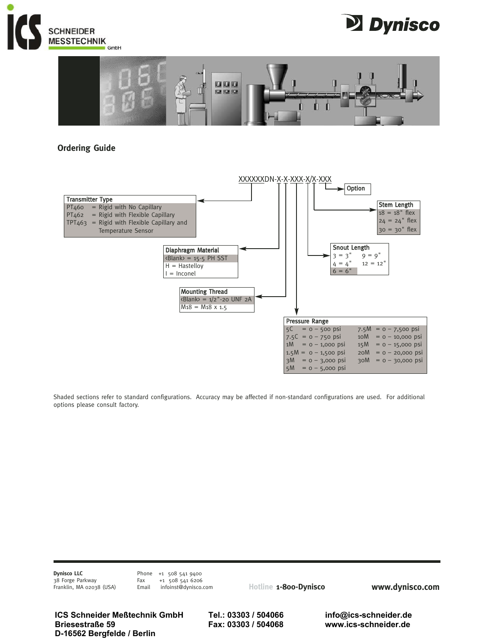





# **Ordering Guide**



Shaded sections refer to standard configurations. Accuracy may be affected if non-standard configurations are used. For additional options please consult factory.

**Dynisco LLC** 38 Forge Parkway Franklin, MA 02038 (USA) Phone +1 508 541 9400<br>Fax +1 508 541 6206 Fax +1 508 541 6206<br>Email infoinst@dynisco.o infoinst@dynisco.com

**Hotline 1-800-Dynisco www.dynisco.com**

**ICS Schneider Meßtechnik GmbH Tel.: 03303 / 504066 info@ics-schneider.de Briesestraße 59 Fax: 03303 / 504068 www.ics-schneider.de D-16562 Bergfelde / Berlin**